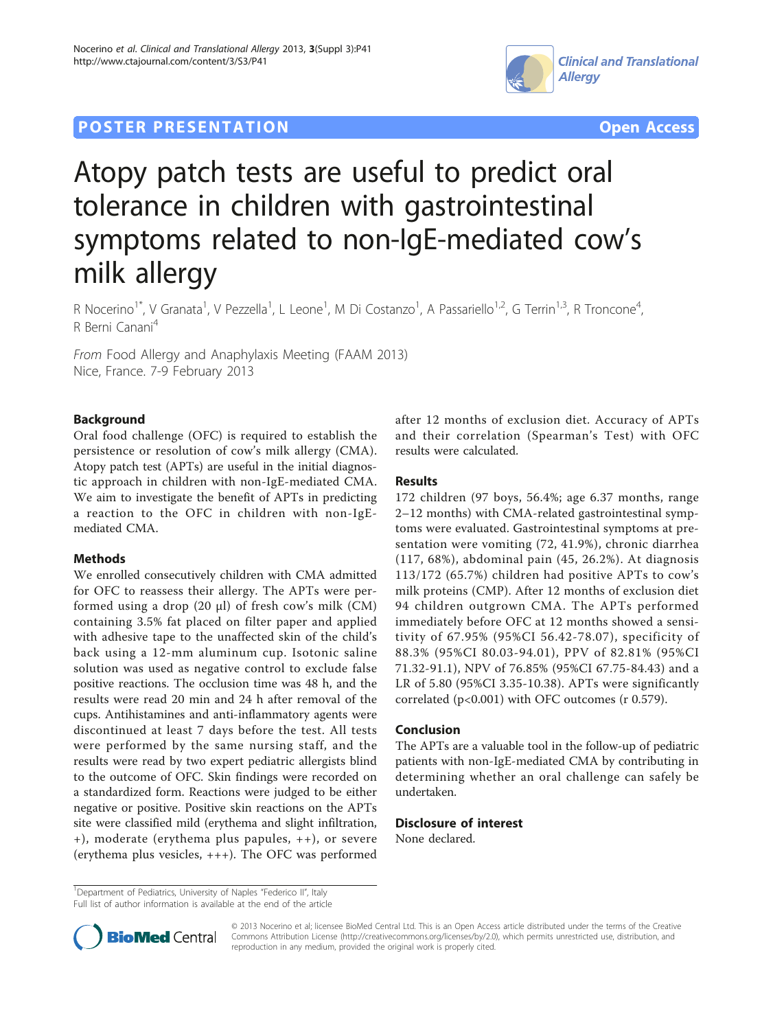## **POSTER PRESENTATION CONSUMING THE SERVICE SERVICE SERVICES**





# Atopy patch tests are useful to predict oral tolerance in children with gastrointestinal symptoms related to non-IgE-mediated cow's milk allergy

R Nocerino<sup>1\*</sup>, V Granata<sup>1</sup>, V Pezzella<sup>1</sup>, L Leone<sup>1</sup>, M Di Costanzo<sup>1</sup>, A Passariello<sup>1,2</sup>, G Terrin<sup>1,3</sup>, R Troncone<sup>4</sup> , R Berni Canani<sup>4</sup>

From Food Allergy and Anaphylaxis Meeting (FAAM 2013) Nice, France. 7-9 February 2013

## Background

Oral food challenge (OFC) is required to establish the persistence or resolution of cow's milk allergy (CMA). Atopy patch test (APTs) are useful in the initial diagnostic approach in children with non-IgE-mediated CMA. We aim to investigate the benefit of APTs in predicting a reaction to the OFC in children with non-IgEmediated CMA.

## Methods

We enrolled consecutively children with CMA admitted for OFC to reassess their allergy. The APTs were performed using a drop  $(20 \mu l)$  of fresh cow's milk  $(CM)$ containing 3.5% fat placed on filter paper and applied with adhesive tape to the unaffected skin of the child's back using a 12-mm aluminum cup. Isotonic saline solution was used as negative control to exclude false positive reactions. The occlusion time was 48 h, and the results were read 20 min and 24 h after removal of the cups. Antihistamines and anti-inflammatory agents were discontinued at least 7 days before the test. All tests were performed by the same nursing staff, and the results were read by two expert pediatric allergists blind to the outcome of OFC. Skin findings were recorded on a standardized form. Reactions were judged to be either negative or positive. Positive skin reactions on the APTs site were classified mild (erythema and slight infiltration, +), moderate (erythema plus papules, ++), or severe (erythema plus vesicles, +++). The OFC was performed

after 12 months of exclusion diet. Accuracy of APTs and their correlation (Spearman's Test) with OFC results were calculated.

## **Results**

172 children (97 boys, 56.4%; age 6.37 months, range 2–12 months) with CMA-related gastrointestinal symptoms were evaluated. Gastrointestinal symptoms at presentation were vomiting (72, 41.9%), chronic diarrhea (117, 68%), abdominal pain (45, 26.2%). At diagnosis 113/172 (65.7%) children had positive APTs to cow's milk proteins (CMP). After 12 months of exclusion diet 94 children outgrown CMA. The APTs performed immediately before OFC at 12 months showed a sensitivity of 67.95% (95%CI 56.42-78.07), specificity of 88.3% (95%CI 80.03-94.01), PPV of 82.81% (95%CI 71.32-91.1), NPV of 76.85% (95%CI 67.75-84.43) and a LR of 5.80 (95%CI 3.35-10.38). APTs were significantly correlated (p<0.001) with OFC outcomes (r 0.579).

#### Conclusion

The APTs are a valuable tool in the follow-up of pediatric patients with non-IgE-mediated CMA by contributing in determining whether an oral challenge can safely be undertaken.

#### Disclosure of interest

None declared.

<sup>&</sup>lt;sup>1</sup>Department of Pediatrics, University of Naples "Federico II", Italy





© 2013 Nocerino et al; licensee BioMed Central Ltd. This is an Open Access article distributed under the terms of the Creative Commons Attribution License [\(http://creativecommons.org/licenses/by/2.0](http://creativecommons.org/licenses/by/2.0)), which permits unrestricted use, distribution, and reproduction in any medium, provided the original work is properly cited.